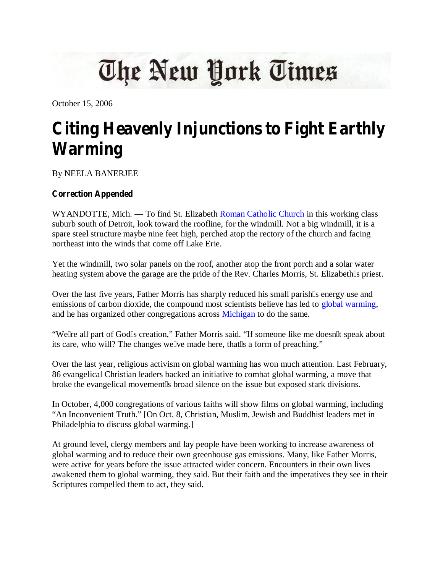## The New York Times

October 15, 2006

## **Citing Heavenly Injunctions to Fight Earthly Warming**

By NEELA BANERJEE

## **Correction Appended**

WYANDOTTE, Mich. – To find St. Elizabeth [Roman Catholic Church](http://topics.nytimes.com/top/reference/timestopics/organizations/r/roman_catholic_church/index.html?inline=nyt-org) in this working class suburb south of Detroit, look toward the roofline, for the windmill. Not a big windmill, it is a spare steel structure maybe nine feet high, perched atop the rectory of the church and facing northeast into the winds that come off Lake Erie.

Yet the windmill, two solar panels on the roof, another atop the front porch and a solar water heating system above the garage are the pride of the R ev. C harles M orris, S t. E lizabeth s priest.

Over the last five years, Father Morris has sharp ly reduced his sm all parish s energy use and emissions of carbon dioxide, the compound most scientists believe has led to [global warming,](http://topics.nytimes.com/top/news/science/topics/globalwarming/index.html?inline=nyt-classifier) and he has organized other congregations across [Michigan](http://topics.nytimes.com/top/news/national/usstatesterritoriesandpossessions/michigan/index.html?inline=nyt-geo) to do the same.

"We re all part of G od s creation," F ather M orris said. "If some one like m e doesn t speak about its care, w ho w ill? The changes we ve m ade here, that s a form of preaching."

Over the last year, religious activism on global warming has won much attention. Last February, 86 evangelical Christian leaders backed an initiative to combat global warming, a move that broke the evangelical movem ent s broad silence on the issue but exposed stark divisions.

In October, 4,000 congregations of various faiths will show films on global warming, including "An Inconvenient T ruth." [O n O ct. 8, C hristian, M uslim, Jew ish and B uddhist leaders m et in Philadelphia to discuss global warming.]

At ground level, clergy members and lay people have been working to increase awareness of global warming and to reduce their own greenhouse gas emissions. Many, like Father Morris, were active for years before the issue attracted wider concern. Encounters in their own lives awakened them to global warming, they said. But their faith and the imperatives they see in their Scriptures compelled them to act, they said.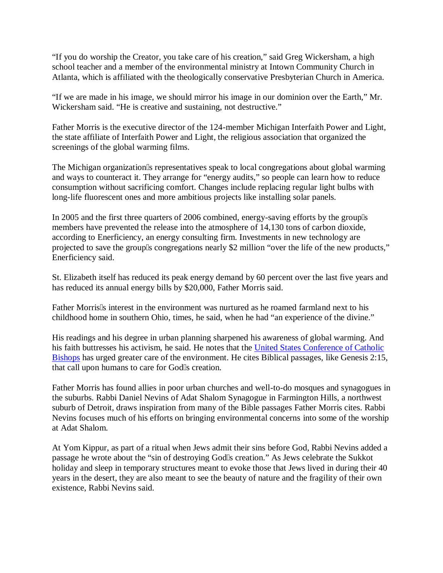"If you do w orship the C reator, you take care of his creation," said G reg W ickersham, a high school teacher and a member of the environmental ministry at Intown Community Church in Atlanta, which is affiliated with the theologically conservative Presbyterian Church in America.

"If we are m ade in his im age, we should m irror his im age in our dom inion over the Earth,"  $M$  r. W ickersham said. "H e is creative and su staining, not destructive."

Father Morris is the executive director of the 124-member Michigan Interfaith Power and Light, the state affiliate of Interfaith Power and Light, the religious association that organized the screenings of the global warming films.

The M ichigan organization s representatives speak to local congregations about global w arm ing and w ays to counteract it. They arrange for "energy audits," so people can learn how to reduce consumption without sacrificing comfort. Changes include replacing regular light bulbs with long-life fluorescent ones and more ambitious projects like installing solar panels.

In 2005 and the first three quarters of 2006 combined, energy-saving efforts by the group  $\bar{s}$ members have prevented the release into the atmosphere of 14,130 tons of carbon dioxide, according to Enerficiency, an energy consulting firm. Investments in new technology are pro jected to save the group s congregations nearly \$2 m illion "over the life of the new products," Enerficiency said.

St. Elizabeth itself has reduced its peak energy demand by 60 percent over the last five years and has reduced its annual energy bills by \$20,000, Father Morris said.

Father M orris s interest in the environment w as nurtured as he roam ed farm land next to his child hood hom e in sou thern 0 hio, times, he said, when he had "an experience of the divine."

His readings and his degree in urban planning sharpened his awareness of global warming. And his faith buttresses his activism, he said. He notes that the [United States Conference](http://topics.nytimes.com/top/reference/timestopics/organizations/u/united_states_conference_of_catholic_bishops/index.html?inline=nyt-org) of Catholic [Bishops](http://topics.nytimes.com/top/reference/timestopics/organizations/u/united_states_conference_of_catholic_bishops/index.html?inline=nyt-org) has urged greater care of the environment. He cites Biblical passages, like Genesis 2:15, that call upon hum ans to care for  $G$  od s creation.

Father Morris has found allies in poor urban churches and well-to-do mosques and synagogues in the suburbs. Rabbi Daniel Nevins of Adat Shalom Synagogue in Farmington Hills, a northwest suburb of Detroit, draws inspiration from many of the Bible passages Father Morris cites. Rabbi Nevins focuses much of his efforts on bringing environmental concerns into some of the worship at Adat Shalom.

At Yom Kippur, as part of a ritual when Jews admit their sins before God, Rabbi Nevins added a passage he w rote about the "sin of destroying G od s creation." A s Jew s celebrate the Sukkot holiday and sleep in temporary structures meant to evoke those that Jews lived in during their 40 years in the desert, they are also meant to see the beauty of nature and the fragility of their own existence, Rabbi Nevins said.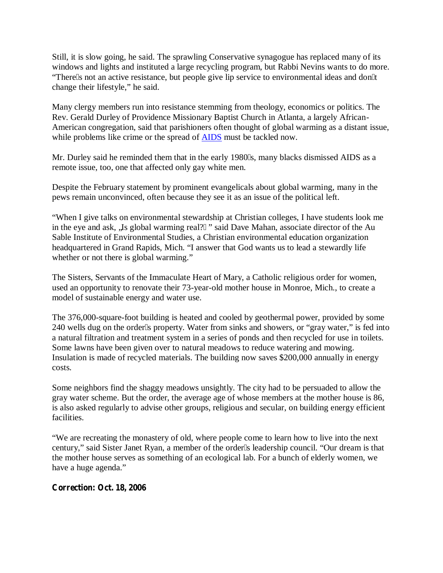Still, it is slow going, he said. The sprawling Conservative synagogue has replaced many of its windows and lights and instituted a large recycling program, but Rabbi Nevins wants to do more. "There s not an active resistance, but people give lip service to environm ental ideas and don t change their lifestyle," he said.

Many clergy members run into resistance stemming from theology, economics or politics. The Rev. Gerald Durley of Providence Missionary Baptist Church in Atlanta, a largely African-American congregation, said that parishioners often thought of global warming as a distant issue, while problems like crime or the spread of [AIDS](http://topics.nytimes.com/top/news/health/diseasesconditionsandhealthtopics/aids/index.html?inline=nyt-classifier) must be tackled now.

M r. D urley said he rem inded them that in the early 1980 s, m any blacks d ism issed A ID S as a remote issue, too, one that affected only gay white men.

Despite the February statement by prominent evangelicals about global warming, many in the pews remain unconvinced, often because they see it as an issue of the political left.

"When I give talks on environmental stew ardship at Christian colleges, I have students look me in the eye and ask, "Is g lobal w arm ing real? " said D ave Mahan, associate director of the Au Sable Institute of Environmental Studies, a Christian environmental education organization headquartered in G rand R ap ids, M ich. "I answ er that G od w ants us to lead a stew ard ly life whether or not there is global warming."

The Sisters, Servants of the Immaculate Heart of Mary, a Catholic religious order for women, used an opportunity to renovate their 73-year-old mother house in Monroe, Mich., to create a model of sustainable energy and water use.

The 376,000-square-foot building is heated and cooled by geothermal power, provided by some 240 w ells dug on the order s property. W ater from sinks and show ers, or "gray w ater," is fed into a natural filtration and treatment system in a series of ponds and then recycled for use in toilets. Some lawns have been given over to natural meadows to reduce watering and mowing. Insulation is made of recycled materials. The building now saves \$200,000 annually in energy costs.

Some neighbors find the shaggy meadows unsightly. The city had to be persuaded to allow the gray water scheme. But the order, the average age of whose members at the mother house is 86, is also asked regularly to advise other groups, religious and secular, on building energy efficient facilities.

"W e are recreating the monastery of old, where people come to learn how to live into the next century," said S ister Janet R yan, a m em ber of the order s leadership council. "O ur dream is that the mother house serves as something of an ecological lab. For a bunch of elderly women, we have a huge agenda."

## **Correction: Oct. 18, 2006**